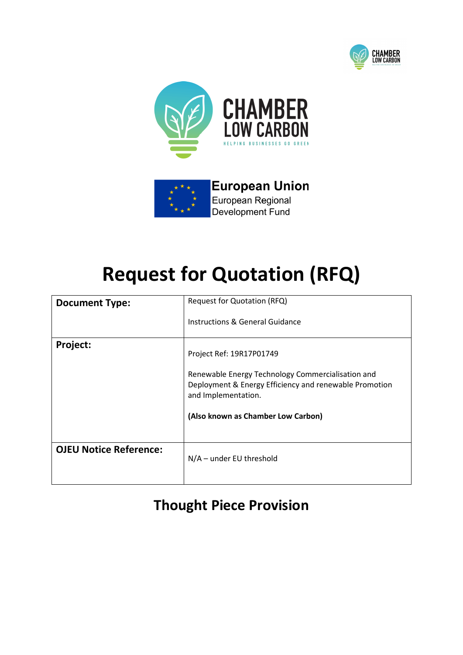





# **Request for Quotation (RFQ)**

| <b>Document Type:</b>         | <b>Request for Quotation (RFQ)</b>                                                                                                 |  |  |
|-------------------------------|------------------------------------------------------------------------------------------------------------------------------------|--|--|
|                               | <b>Instructions &amp; General Guidance</b>                                                                                         |  |  |
| Project:                      | Project Ref: 19R17P01749                                                                                                           |  |  |
|                               | Renewable Energy Technology Commercialisation and<br>Deployment & Energy Efficiency and renewable Promotion<br>and Implementation. |  |  |
|                               | (Also known as Chamber Low Carbon)                                                                                                 |  |  |
| <b>OJEU Notice Reference:</b> |                                                                                                                                    |  |  |
|                               | $N/A$ – under EU threshold                                                                                                         |  |  |

# **Thought Piece Provision**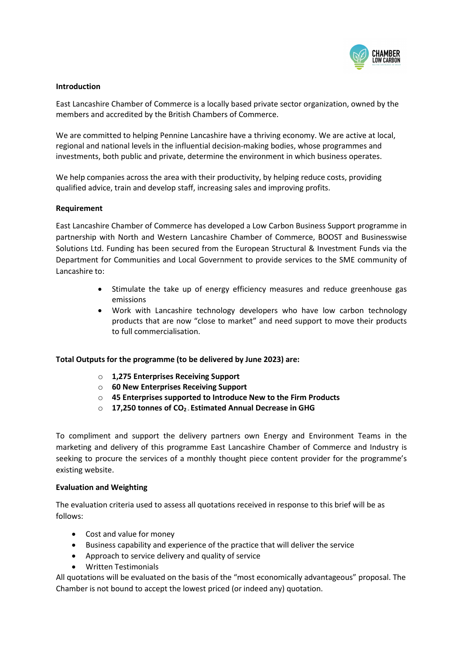

# **Introduction**

East Lancashire Chamber of Commerce is a locally based private sector organization, owned by the members and accredited by the British Chambers of Commerce.

We are committed to helping Pennine Lancashire have a thriving economy. We are active at local, regional and national levels in the influential decision-making bodies, whose programmes and investments, both public and private, determine the environment in which business operates.

We help companies across the area with their productivity, by helping reduce costs, providing qualified advice, train and develop staff, increasing sales and improving profits.

### **Requirement**

East Lancashire Chamber of Commerce has developed a Low Carbon Business Support programme in partnership with North and Western Lancashire Chamber of Commerce, BOOST and Businesswise Solutions Ltd. Funding has been secured from the European Structural & Investment Funds via the Department for Communities and Local Government to provide services to the SME community of Lancashire to:

- Stimulate the take up of energy efficiency measures and reduce greenhouse gas emissions
- Work with Lancashire technology developers who have low carbon technology products that are now "close to market" and need support to move their products to full commercialisation.

# **Total Outputs for the programme (to be delivered by June 2023) are:**

- o **1,275 Enterprises Receiving Support**
- o **60 New Enterprises Receiving Support**
- o **45 Enterprises supported to Introduce New to the Firm Products**
- o **17,250 tonnes of CO2 - Estimated Annual Decrease in GHG**

To compliment and support the delivery partners own Energy and Environment Teams in the marketing and delivery of this programme East Lancashire Chamber of Commerce and Industry is seeking to procure the services of a monthly thought piece content provider for the programme's existing website.

### **Evaluation and Weighting**

The evaluation criteria used to assess all quotations received in response to this brief will be as follows:

- Cost and value for money
- Business capability and experience of the practice that will deliver the service
- Approach to service delivery and quality of service
- Written Testimonials

All quotations will be evaluated on the basis of the "most economically advantageous" proposal. The Chamber is not bound to accept the lowest priced (or indeed any) quotation.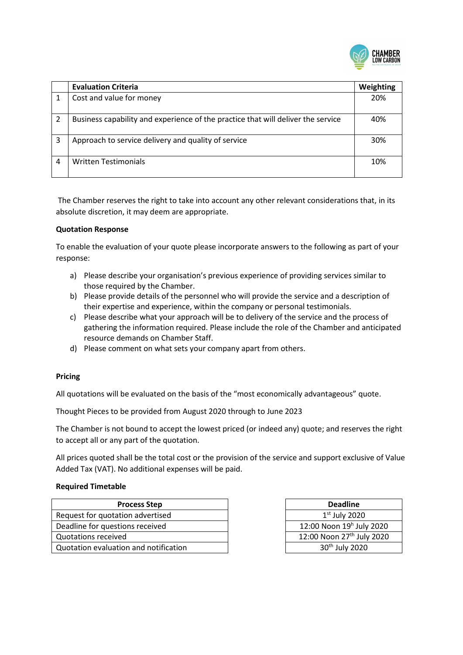

|   | <b>Evaluation Criteria</b>                                                       | Weighting |
|---|----------------------------------------------------------------------------------|-----------|
| 1 | Cost and value for money                                                         | 20%       |
| 2 | Business capability and experience of the practice that will deliver the service | 40%       |
| 3 | Approach to service delivery and quality of service                              | 30%       |
| 4 | <b>Written Testimonials</b>                                                      | 10%       |

The Chamber reserves the right to take into account any other relevant considerations that, in its absolute discretion, it may deem are appropriate.

# **Quotation Response**

To enable the evaluation of your quote please incorporate answers to the following as part of your response:

- a) Please describe your organisation's previous experience of providing services similar to those required by the Chamber.
- b) Please provide details of the personnel who will provide the service and a description of their expertise and experience, within the company or personal testimonials.
- c) Please describe what your approach will be to delivery of the service and the process of gathering the information required. Please include the role of the Chamber and anticipated resource demands on Chamber Staff.
- d) Please comment on what sets your company apart from others.

### **Pricing**

All quotations will be evaluated on the basis of the "most economically advantageous" quote.

Thought Pieces to be provided from August 2020 through to June 2023

The Chamber is not bound to accept the lowest priced (or indeed any) quote; and reserves the right to accept all or any part of the quotation.

All prices quoted shall be the total cost or the provision of the service and support exclusive of Value Added Tax (VAT). No additional expenses will be paid.

### **Required Timetable**

| <b>Process Step</b>                   | <b>Deadline</b>                       |
|---------------------------------------|---------------------------------------|
| Request for quotation advertised      | $1st$ July 2020                       |
| Deadline for questions received       | 12:00 Noon $19^h$ July 2020           |
| Quotations received                   | 12:00 Noon 27 <sup>th</sup> July 2020 |
| Quotation evaluation and notification | 30 <sup>th</sup> July 2020            |

| <b>Deadline</b>                       |  |  |
|---------------------------------------|--|--|
| $1st$ July 2020                       |  |  |
| 12:00 Noon 19h July 2020              |  |  |
| 12:00 Noon 27 <sup>th</sup> July 2020 |  |  |
| 30 <sup>th</sup> July 2020            |  |  |